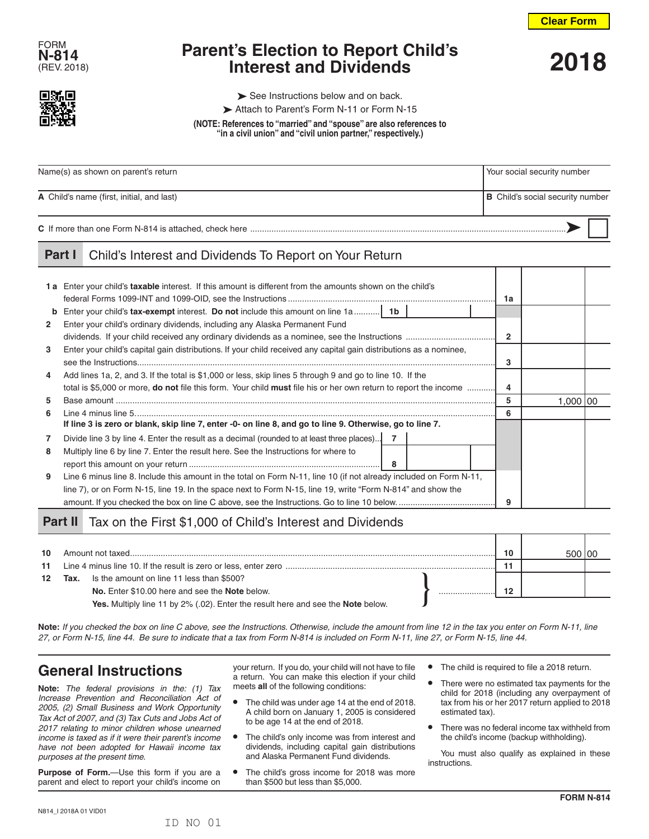**Clear Form**



# **Parent's Election to Report Child's Interest and Dividends** (REV. 2018) **2018**



 $\triangleright$  See Instructions below and on back.

Attach to Parent's Form N-11 or Form N-15

**(NOTE: References to "married" and "spouse" are also references to "in a civil union" and "civil union partner," respectively.)**

| Name(s) as shown on parent's return       | Your social security number             |  |  |
|-------------------------------------------|-----------------------------------------|--|--|
| A Child's name (first, initial, and last) | <b>B</b> Child's social security number |  |  |
|                                           |                                         |  |  |

#### **Part I** Child's Interest and Dividends To Report on Your Return

|              | 1a Enter your child's taxable interest. If this amount is different from the amounts shown on the child's                      | 1a             |            |  |
|--------------|--------------------------------------------------------------------------------------------------------------------------------|----------------|------------|--|
|              | <b>b</b> Enter your child's tax-exempt interest. Do not include this amount on line 1a 1b                                      |                |            |  |
| $\mathbf{2}$ | Enter your child's ordinary dividends, including any Alaska Permanent Fund                                                     |                |            |  |
|              |                                                                                                                                | $\overline{2}$ |            |  |
| 3            | Enter your child's capital gain distributions. If your child received any capital gain distributions as a nominee,             |                |            |  |
|              |                                                                                                                                | 3              |            |  |
| 4            | Add lines 1a, 2, and 3. If the total is \$1,000 or less, skip lines 5 through 9 and go to line 10. If the                      |                |            |  |
|              | total is \$5,000 or more, <b>do not</b> file this form. Your child <b>must</b> file his or her own return to report the income | 4              |            |  |
| 5            |                                                                                                                                |                | 1,000   00 |  |
| 6            |                                                                                                                                | 6              |            |  |
|              | If line 3 is zero or blank, skip line 7, enter -0- on line 8, and go to line 9. Otherwise, go to line 7.                       |                |            |  |
| 7            | Divide line 3 by line 4. Enter the result as a decimal (rounded to at least three places) 7                                    |                |            |  |
| 8            | Multiply line 6 by line 7. Enter the result here. See the Instructions for where to                                            |                |            |  |
|              | 8                                                                                                                              |                |            |  |
| 9            | Line 6 minus line 8. Include this amount in the total on Form N-11, line 10 (if not already included on Form N-11,             |                |            |  |
|              | line 7), or on Form N-15, line 19. In the space next to Form N-15, line 19, write "Form N-814" and show the                    |                |            |  |
|              |                                                                                                                                |                |            |  |

## Part II Tax on the First \$1,000 of Child's Interest and Dividends

| 10 <sup>1</sup> |      | Amount not taxed                                                                 |  | 10 |  |
|-----------------|------|----------------------------------------------------------------------------------|--|----|--|
| 11              |      |                                                                                  |  |    |  |
| 12              | Tax. | Is the amount on line 11 less than \$500?                                        |  |    |  |
|                 |      | No. Enter \$10.00 here and see the Note below.                                   |  | 10 |  |
|                 |      | Yes. Multiply line 11 by 2% (.02). Enter the result here and see the Note below. |  |    |  |

**Note:** *If you checked the box on line C above, see the Instructions. Otherwise, include the amount from line 12 in the tax you enter on Form N-11, line 27, or Form N-15, line 44. Be sure to indicate that a tax from Form N-814 is included on Form N-11, line 27, or Form N-15, line 44.*

# **General Instructions**

**Note:** *The federal provisions in the: (1) Tax Increase Prevention and Reconciliation Act of 2005, (2) Small Business and Work Opportunity Tax Act of 2007, and (3) Tax Cuts and Jobs Act of 2017 relating to minor children whose unearned income is taxed as if it were their parent's income have not been adopted for Hawaii income tax purposes at the present time.*

**Purpose of Form.**—Use this form if you are a parent and elect to report your child's income on

your return. If you do, your child will not have to file a return. You can make this election if your child meets **all** of the following conditions:

- **•** The child was under age 14 at the end of 2018. A child born on January 1, 2005 is considered to be age 14 at the end of 2018.
- **•** The child's only income was from interest and dividends, including capital gain distributions and Alaska Permanent Fund dividends.
- **•** The child's gross income for 2018 was more than \$500 but less than \$5,000.
- **•** The child is required to file a 2018 return.
- **•** There were no estimated tax payments for the child for 2018 (including any overpayment of tax from his or her 2017 return applied to 2018 estimated tax).
- **•** There was no federal income tax withheld from the child's income (backup withholding).

You must also qualify as explained in these instructions.